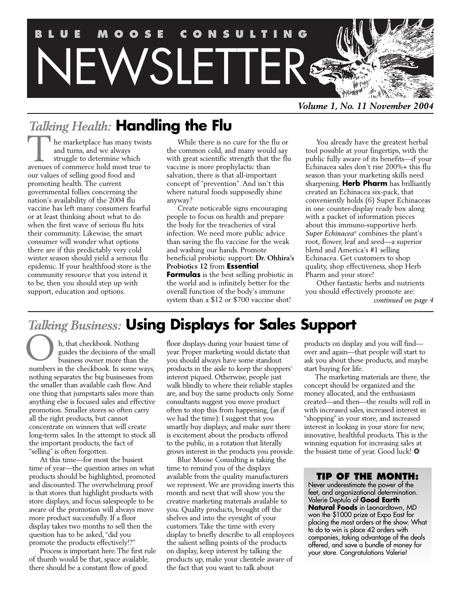

*Volume 1, No. 11 November 2004*

## *Talking Health:* **Handling the Flu**

The marketplace has many twists and turns, and we always struggle to determine which The marketplace has many twists<br>and turns, and we always<br>struggle to determine which<br>avenues of commerce hold most true to our values of selling good food and promoting health. The current governmental follies concerning the nation's availability of the 2004 flu vaccine has left many consumers fearful or at least thinking about what to do when the first wave of serious flu hits their community. Likewise, the smart consumer will wonder what options there are if this predictably very cold winter season should yield a serious flu epidemic. If your healthfood store is the community resource that you intend it to be, then you should step up with support, education and options.

While there is no cure for the flu or the common cold, and many would say with great scientific strength that the flu vaccine is more prophylactic than salvation, there is that all-important concept of "prevention". And isn't this where natural foods supposedly shine anyway?

Create noticeable signs encouraging people to focus on health and prepare the body for the treacheries of viral infection. We need more public advice than saving the flu vaccine for the weak and washing our hands. Promote beneficial probiotic support: **Dr. Ohhira's Probiotics 12** from **Essential Formulas** is the best selling probiotic in the world and is infinitely better for the overall function of the body's immune system than a \$12 or \$700 vaccine shot!

You already have the greatest herbal tool possible at your fingertips, with the public fully aware of its benefits—if your Echinacea sales don't rise 200%+ this flu season than your marketing skills need sharpening. **Herb Pharm** has brilliantly created an Echinacea six-pack, that conveniently holds (6) Super Echinaceas in one counter-display ready box along with a packet of information pieces about this immuno-supportive herb. *Super Echinacea*® combines the plant's root, flower, leaf and seed—a superior blend and America's #1 selling Echinacea. Get customers to shop quality, shop effectiveness, shop Herb Pharm and your store!

Other fantastic herbs and nutrients you should effectively promote are: *continued on page 4*

## *Talking Business:* **Using Displays for Sales Support**

h, that checkbook. Nothing guides the decisions of the small business owner more than the **n**, that checkbook. Nothing<br>guides the decisions of the small<br>business owner more than the<br>numbers in the checkbook. In some ways, nothing separates the big businesses from the smaller than available cash flow. And one thing that jumpstarts sales more than anything else is focused sales and effective promotion. Smaller stores so often carry all the right products, but cannot concentrate on winners that will create long-term sales. In the attempt to stock all the important products, the fact of "selling" is often forgotten.

At this time—for most the busiest time of year—the question arises on what products should be highlighted, promoted and discounted. The overwhelming proof is that stores that highlight products with store displays, and focus salespeople to be aware of the promotion will always move more product successfully. If a floor display takes two months to sell then the question has to be asked,"did you promote the products effectively!?"

Process is important here.The first rule of thumb would be that, space available, there should be a constant flow of good

floor displays during your busiest time of year. Proper marketing would dictate that you should always have some standout products in the aisle to keep the shoppers' interest piqued. Otherwise, people just walk blindly to where their reliable staples are, and buy the same products only. Some consultants suggest you move product often to stop this from happening, (as if we had the time): I suggest that you smartly buy displays; and make sure there is excitement about the products offered to the public, in a rotation that literally grows interest in the products you provide.

Blue Moose Consulting is taking the time to remind you of the displays available from the quality manufacturers we represent.We are providing inserts this month and next that will show you the creative marketing materials available to you. Quality products, brought off the shelves and into the eyesight of your customers.Take the time with every display to briefly describe to all employees the salient selling points of the products on display, keep interest by talking the products up, make your clientele aware of the fact that you want to talk about

products on display and you will find over and again—that people will start to ask you about these products, and maybe start buying for life.

The marketing materials are there, the concept should be organized and the money allocated, and the enthusiasm created—and then—the results will roll in with increased sales, increased interest in "shopping" in your store, and increased interest in looking in your store for new, innovative, healthful products.This is the winning equation for increasing sales at the busiest time of year. Good luck! \*

### **TIP OF THE MONTH:**

Never underestimate the power of the feet, and organizational determination. Valerie Deptula of **Good Earth Natural Foods** in Leonardtown, MD won the \$1000 prize at Expo East for placing the most orders at the show. What to do to win is place 42 orders with companies, taking advantage of the deals offered, and save a bundle of money for your store. Congratulations Valerie!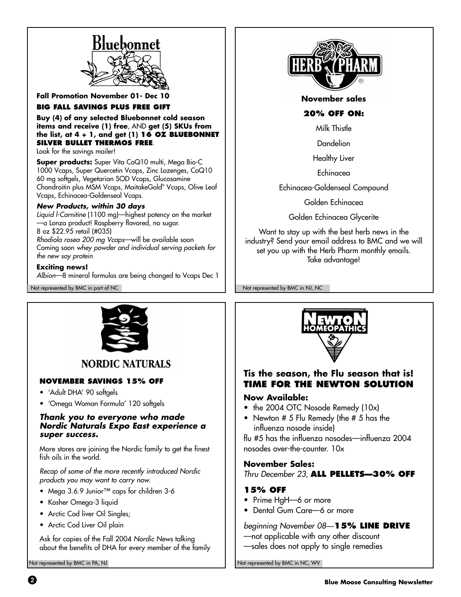

**Fall Promotion November 01- Dec** 

### **BIG FALL SAVINGS PLUS FREE GIFT**

**Buy (4) of any selected Bluebonnet cold season items and receive (1) free**, AND **get (5) SKUs from the list, at 4 + 1, and get (1) 16 OZ BLUEBONNET SILVER BULLET THERMOS FREE**.

Look for the savings mailer!

**Super products:** Super Vita CoQ10 multi, Mega Bio-C 1000 Vcaps, Super Quercetin Vcaps, Zinc Lozenges, CoQ10 60 mg softgels, Vegetarian SOD Vcaps, Glucosamine Chondroitin plus MSM Vcaps, MaitakeGold® Vcaps, Olive Leaf Vcaps, Echinacea-Goldenseal Vcaps.

### **New Products, within 30 days**

Liquid l-Carnitine (1100 mg)—highest potency on the market —a Lonza product! Raspberry flavored, no sugar. 8 oz \$22.95 retail (#035) Rhodiola rosea 200 mg Vcaps—will be available soon Coming soon whey powder and individual serving packets for the new soy protein

### **Exciting news!**

Albion—8 mineral formulas are being changed to Vcaps Dec 1

Not represented by BMC in part of NC Not represented by BMC in NJ, NC



### **NORDIC NATURALS**

### **NOVEMBER SAVINGS 15% OFF**

- 'Adult DHA' 90 softgels
- 'Omega Woman Formula' 120 softgels

### **Thank you to everyone who made Nordic Naturals Expo East experience a super success.**

More stores are joining the Nordic family to get the finest fish oils in the world.

Recap of some of the more recently introduced Nordic products you may want to carry now.

- Mega 3.6.9 Junior™ caps for children 3-6
- Kosher Omega-3 liquid
- Arctic Cod liver Oil Singles;
- Arctic Cod Liver Oil plain

Ask for copies of the Fall 2004 Nordic News talking about the benefits of DHA for every member of the family



### **November sales**

### **20% OFF ON:**

Milk Thistle

Dandelion

Healthy Liver

Echinacea

Echinacea-Goldenseal Compound

Golden Echinacea

Golden Echinacea Glycerite

Want to stay up with the best herb news in the industry? Send your email address to BMC and we will set you up with the Herb Pharm monthly emails. Take advantage!



### **Tis the season, the Flu season that is! TIME FOR THE NEWTON SOLUTION**

### **Now Available:**

- the 2004 OTC Nosode Remedy (10x)
- Newton # 5 Flu Remedy (the # 5 has the influenza nosode inside)

flu #5 has the influenza nosodes—influenza 2004 nosodes over-the-counter. 10x

### **November Sales:**

Thru December 23, **ALL PELLETS—30% OFF**

### **15% OFF**

- Prime HgH-6 or more
- Dental Gum Care—6 or more

beginning November 08—**15% LINE DRIVE**

- —not applicable with any other discount
- —sales does not apply to single remedies

Not represented by BMC in PA, NJ Not represented by BMC in NC, WV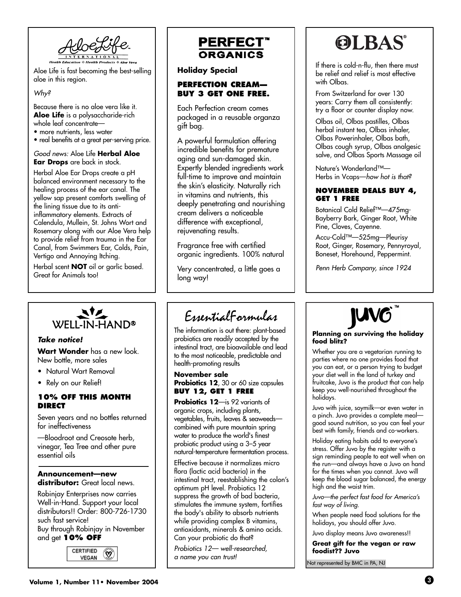

Aloe Life is fast becoming the best-selling aloe in this region.

Why?

Because there is no aloe vera like it. **Aloe Life** is a polysaccharide-rich whole leaf concentrate—

- more nutrients, less water
- real benefits at a great per-serving price.

### Good news: Aloe Life **Herbal Aloe Ear Drops** are back in stock.

Herbal Aloe Ear Drops create a pH balanced environment necessary to the healing process of the ear canal. The yellow sap present comforts swelling of the lining tissue due to its antiinflammatory elements. Extracts of Calendula, Mullein, St. Johns Wort and Rosemary along with our Aloe Vera help to provide relief from trauma in the Ear Canal, from Swimmers Ear, Colds, Pain, Vertigo and Annoying Itching.

Herbal scent **NOT** oil or garlic based. Great for Animals too!



### **Take notice!**

**Wart Wonder** has a new look. New bottle, more sales

- Natural Wart Removal
- Rely on our Relief!

### **10% OFF THIS MONTH DIRECT**

Seven years and no bottles returned for ineffectiveness

—Bloodroot and Creosote herb, vinegar, Tea Tree and other pure essential oils

### **Announcement—new distributor:** Great local news.

Robinjay Enterprises now carries Well-in-Hand. Support your local distributors!! Order: 800-726-1730 such fast service! Buy through Robinjay in November and get **10% OFF**





### **Holiday Special**

### **PERFECTION CREAM— BUY 3 GET ONE FREE.**

Each Perfection cream comes packaged in a reusable organza gift bag.

A powerful formulation offering incredible benefits for premature aging and sun-damaged skin. Expertly blended ingredients work full-time to improve and maintain the skin's elasticity. Naturally rich in vitamins and nutrients, this deeply penetrating and nourishing cream delivers a noticeable difference with exceptional, rejuvenating results.

Fragrance free with certified organic ingredients. 100% natural

Very concentrated, a little goes a long way!

## EssentialFormulas

The information is out there: plant-based probiotics are readily accepted by the intestinal tract, are bioavailable and lead to the most noticeable, predictable and health-promoting results

**November sale** Probiotics 12, 30 or 60 size capsules **BUY 12, GET 1 FREE**

**Probiotics 12**—is 92 variants of organic crops, including plants, vegetables, fruits, leaves & seaweeds combined with pure mountain spring water to produce the world's finest probiotic product using a 3–5 year natural-temperature fermentation process.

Effective because it normalizes micro flora (lactic acid bacteria) in the intestinal tract, reestablishing the colon's optimum pH level. Probiotics 12 suppress the growth of bad bacteria, stimulates the immune system, fortifies the body's ability to absorb nutrients while providing complex B vitamins, antioxidants, minerals & amino acids. Can your probiotic do that?

Probiotics 12— well-researched, a name you can trust!

# **OLBAS®**

If there is cold-n-flu, then there must be relief and relief is most effective with Olbas.

From Switzerland for over 130 years: Carry them all consistently: try a floor or counter display now.

Olbas oil, Olbas pastilles, Olbas herbal instant tea, Olbas inhaler, Olbas Powerinhaler, Olbas bath, Olbas cough syrup, Olbas analgesic salve, and Olbas Sports Massage oil

Nature's Wonderland™— Herbs in Vcaps-how hot is that?

### **NOVEMBER DEALS BUY 4, GET 1 FREE**

Botanical Cold Relief™—475mg-Bayberry Bark, Ginger Root, White Pine, Cloves, Cayenne.

Accu-Cold™—525mg—Pleurisy Root, Ginger, Rosemary, Pennyroyal, Boneset, Horehound, Peppermint.

Penn Herb Company, since 1924



#### **Planning on surviving the holiday food blitz?**

Whether you are a vegetarian running to parties where no one provides food that you can eat, or a person trying to budget your diet well in the land of turkey and fruitcake, Juvo is the product that can help keep you well-nourished throughout the holidays.

Juvo with juice, soymilk—or even water in a pinch. Juvo provides a complete meal good sound nutrition, so you can feel your best with family, friends and co-workers.

Holiday eating habits add to everyone's stress. Offer Juvo by the register with a sign reminding people to eat well when on the run—and always have a Juvo on hand for the times when you cannot. Juvo will keep the blood sugar balanced, the energy high and the waist trim.

Juvo—the perfect fast food for America's fast way of living.

When people need food solutions for the holidays, you should offer Juvo.

Juvo display means Juvo awareness!!

**Great gift for the vegan or raw foodist?? Juvo**

Not represented by BMC in PA, NJ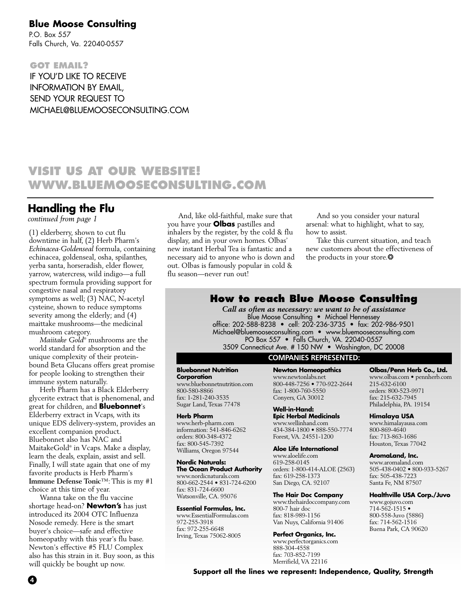### **Blue Moose Consulting**

P.O. Box 557 Falls Church, Va. 22040-0557

**GOT EMAIL?** IF YOU'D LIKE TO RECEIVE INFORMATION BY EMAIL, SEND YOUR REQUEST TO MICHAEL@BLUEMOOSECONSULTING.COM

### **VISIT US AT OUR WEBSITE! WWW.BLUEMOOSECONSULTING.COM**

### **Handling the Flu**

*continued from page 1*

(1) elderberry, shown to cut flu downtime in half, (2) Herb Pharm's *Echinacea-Goldenseal* formula, containing echinacea, goldenseal, osha, spilanthes, yerba santa, horseradish, elder flower, yarrow, watercress, wild indigo—a full spectrum formula providing support for congestive nasal and respiratory symptoms as well; (3) NAC, N-acetyl cysteine, shown to reduce symptoms severity among the elderly; and (4) maittake mushrooms—the medicinal mushroom category.

*Maiitake Gold*® mushrooms are the world standard for absorption and the unique complexity of their proteinbound Beta Glucans offers great promise for people looking to strengthen their immune system naturally.

Herb Pharm has a Black Elderberry glycerite extract that is phenomenal, and great for children, and **Bluebonnet**'s Elderberry extract in Vcaps, with its unique EDS delivery-system, provides an excellent companion product. Bluebonnet also has NAC and MaitakeGold® in Vcaps. Make a display, learn the deals, explain, assist and sell. Finally, I will state again that one of my favorite products is Herb Pharm's **Immune Defense Tonic**™: This is my #1 choice at this time of year.

Wanna take on the flu vaccine shortage head-on? **Newton's** has just introduced its 2004 OTC Influenza Nosode remedy. Here is the smart buyer's choice—safe and effective homeopathy with this year's flu base. Newton's effective #5 FLU Complex also has this strain in it. Buy soon, as this will quickly be bought up now.

And, like old-faithful, make sure that you have your **Olbas** pastilles and inhalers by the register, by the cold & flu display, and in your own homes. Olbas' new instant Herbal Tea is fantastic and a necessary aid to anyone who is down and out. Olbas is famously popular in cold & flu season—never run out!

And so you consider your natural arsenal: what to highlight, what to say, how to assist.

Take this current situation, and teach new customers about the effectiveness of the products in your store.\*

### **How to reach Blue Moose Consulting**

*Call as often as necessary: we want to be of assistance* Blue Moose Consulting • Michael Hennessey office: 202-588-8238 • cell: 202-236-3735 • fax: 202-986-9501 Michael@bluemooseconsulting.com • www.bluemooseconsulting.com PO Box 557 • Falls Church, VA. 22040-0557 3509 Connecticut Ave. # 150 NW • Washington, DC 20008

### **COMPANIES REPRESENTED:**

**Bluebonnet Nutrition Corporation** www.bluebonnetnutrition.com

800-580-8866 fax: 1-281-240-3535 Sugar Land, Texas 77478

#### **Herb Pharm**

www.herb-pharm.com information: 541-846-6262 orders: 800-348-4372 fax: 800-545-7392 Williams, Oregon 97544

**Nordic Naturals: The Ocean Product Authority** www.nordicnaturals.com

800-662-2544 • 831-724-6200 fax: 831-724-6600 Watsonville, CA. 95076

#### **Essential Formulas, Inc.**

www.EssentialFormulas.com 972-255-3918 fax: 972-255-6648 Irving, Texas 75062-8005

**Newton Homeopathics** www.newtonlabs.net 800-448-7256 • 770-922-2644 fax: 1-800-760-5550 Conyers, GA 30012

**Well-in-Hand: Epic Herbal Medicinals** www.wellinhand.com 434-384-1800 • 888-550-7774 Forest, VA. 24551-1200

**Aloe Life International**

www.aloelife.com 619-258-0145 orders: 1-800-414-ALOE (2563) fax: 619-258-1373 San Diego, CA. 92107

**The Hair Doc Company** www.thehairdoccompany.com 800-7 hair doc fax: 818-989-1156 Van Nuys, California 91406

**Perfect Organics, Inc.** www.perfectorganics.com

888-304-4558 fax: 703-852-7199 Merrifield, VA 22116

**Olbas/Penn Herb Co., Ltd.** www.olbas.com • pennherb.com

215-632-6100 orders: 800-523-9971 fax: 215-632-7945 Philadelphia, PA. 19154

**Himalaya USA**

www.himalayausa.com 800-869-4640 fax: 713-863-1686 Houston, Texas 77042

**AromaLand, Inc.**

www.aromaland.com 505-438-0402 • 800-933-5267 fax: 505-438-7223 Santa Fe, NM 87507

**Healthville USA Corp./Juvo**

www.gojuvo.com 714-562-1515 • 800-558-Juvo (5886) fax: 714-562-1516 Buena Park, CA 90620

**Support all the lines we represent: Independence, Quality, Strength**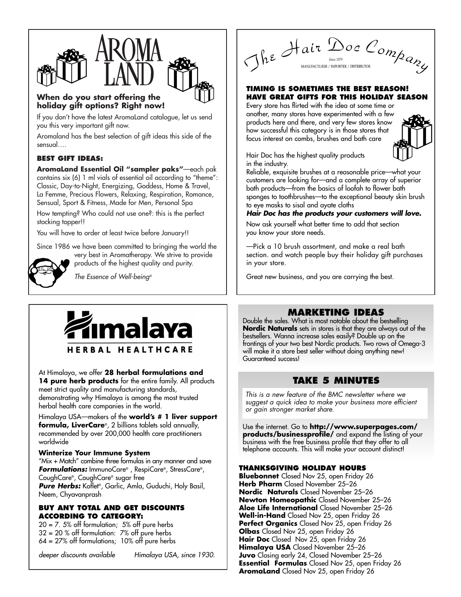

### **When do you start offering the holiday gift options? Right now!**

If you don't have the latest AromaLand catalogue, let us send you this very important gift now.

Aromaland has the best selection of gift ideas this side of the sensual….

### **BEST GIFT IDEAS:**

**AromaLand Essential Oil "sampler paks"**—each pak contains six (6) 1 ml vials of essential oil according to "theme": Classic, Day-to-Night, Energizing, Goddess, Home & Travel, La Femme, Precious Flowers, Relaxing, Respiration, Romance, Sensual, Sport & Fitness, Made for Men, Personal Spa

How tempting? Who could not use one?: this is the perfect stocking topper!!

You will have to order at least twice before January!!

Since 1986 we have been committed to bringing the world the

very best in Aromatherapy. We strive to provide products of the highest quality and purity. **strategy** 

The Essence of Well-being®



### At Himalaya, we offer **28 herbal formulations and**

14 pure herb products for the entire family. All products meet strict quality and manufacturing standards, demonstrating why Himalaya is among the most trusted herbal health care companies in the world.

Himalaya USA—makers of the **world's # 1 liver support formula, LiverCare**®, 2 billions tablets sold annually, recommended by over 200,000 health care practitioners worldwide

### **Winterize Your Immune System**

"Mix + Match" combine three formulas in any manner and save **Formulations:** ImmunoCare® , RespiCare®, StressCare®, CoughCare®, CoughCare® sugar free **Pure Herbs:** Koflet®, Garlic, Amla, Guduchi, Holy Basil, Neem, Chyavanprash

### **BUY ANY TOTAL AND GET DISCOUNTS ACCORDING TO CATEGORY:**

 $20 = 7.5\%$  off formulation; 5% off pure herbs  $32 = 20 %$  off formulation:  $7%$  off pure herbs  $64 = 27\%$  off formulations; 10% off pure herbs

deeper discounts available Himalaya USA, since 1930.

The Hair Doc Company

### **TIMING IS SOMETIMES THE BEST REASON! HAVE GREAT GIFTS FOR THIS HOLIDAY SEASON**

Every store has flirted with the idea at some time or another, many stores have experimented with a few products here and there, and very few stores know how successful this category is in those stores that focus interest on combs, brushes and bath care



Hair Doc has the highest quality products in the industry.

Reliable, exquisite brushes at a reasonable price—what your customers are looking for—and a complete array of superior bath products—from the basics of loofah to flower bath sponges to toothbrushes—to the exceptional beauty skin brush to eye masks to sisal and ayate cloths

### **Hair Doc has the products your customers will love.**

Now ask yourself what better time to add that section you know your store needs.

—Pick a 10 brush assortment, and make a real bath section. and watch people buy their holiday gift purchases in your store.

Great new business, and you are carrying the best.

### **MARKETING IDEAS**

Double the sales. What is most notable about the bestselling **Nordic Naturals** sets in stores is that they are always out of the bestsellers. Wanna increase sales easily? Double up on the frontings of your two best Nordic products. Two rows of Omega-3 will make it a store best seller without doing anything new! Guaranteed success!

### **TAKE 5 MINUTES**

This is a new feature of the BMC newsletter where we suggest a quick idea to make your business more efficient or gain stronger market share.

Use the internet. Go to **http://www.superpages.com/ products/businessprofile/** and expand the listing of your business with the free business profile that they offer to all telephone accounts. This will make your account distinct!

### **THANKSGIVING HOLIDAY HOURS**

**Bluebonnet** Closed Nov 25, open Friday 26 **Herb Pharm** Closed November 25–26 **Nordic Naturals** Closed November 25–26 **Newton Homeopathic** Closed November 25–26 **Aloe Life International** Closed November 25–26 **Well-in-Hand** Closed Nov 25, open Friday 26 **Perfect Organics** Closed Nov 25, open Friday 26 **Olbas** Closed Nov 25, open Friday 26 **Hair Doc** Closed Nov 25, open Friday 26 **Himalaya USA** Closed November 25–26 **Juvo** Closing early 24, Closed November 25–26 **Essential Formulas** Closed Nov 25, open Friday 26 **AromaLand** Closed Nov 25, open Friday 26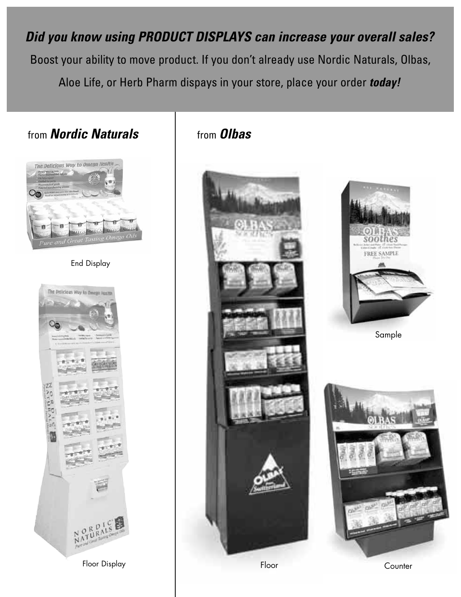**Did you know using PRODUCT DISPLAYS can increase your overall sales?**  Boost your ability to move product. If you don't already use Nordic Naturals, Olbas, Aloe Life, or Herb Pharm dispays in your store, place your order **today!**

### from **Nordic Naturals**



### End Display



Floor Display

### from **Olbas**





Sample



**Counter**